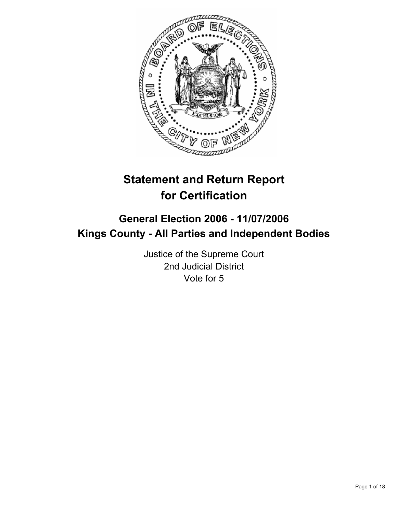

# **Statement and Return Report for Certification**

## **General Election 2006 - 11/07/2006 Kings County - All Parties and Independent Bodies**

Justice of the Supreme Court 2nd Judicial District Vote for 5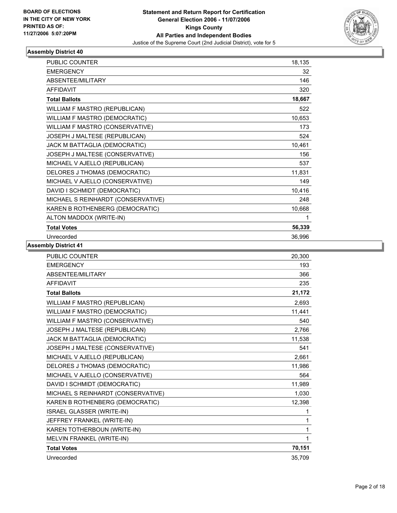

| <b>PUBLIC COUNTER</b>              | 18,135 |
|------------------------------------|--------|
| <b>EMERGENCY</b>                   | 32     |
| ABSENTEE/MILITARY                  | 146    |
| <b>AFFIDAVIT</b>                   | 320    |
| <b>Total Ballots</b>               | 18,667 |
| WILLIAM F MASTRO (REPUBLICAN)      | 522    |
| WILLIAM F MASTRO (DEMOCRATIC)      | 10,653 |
| WILLIAM F MASTRO (CONSERVATIVE)    | 173    |
| JOSEPH J MALTESE (REPUBLICAN)      | 524    |
| JACK M BATTAGLIA (DEMOCRATIC)      | 10,461 |
| JOSEPH J MALTESE (CONSERVATIVE)    | 156    |
| MICHAEL V AJELLO (REPUBLICAN)      | 537    |
| DELORES J THOMAS (DEMOCRATIC)      | 11,831 |
| MICHAEL V AJELLO (CONSERVATIVE)    | 149    |
| DAVID I SCHMIDT (DEMOCRATIC)       | 10,416 |
| MICHAEL S REINHARDT (CONSERVATIVE) | 248    |
| KAREN B ROTHENBERG (DEMOCRATIC)    | 10,668 |
| ALTON MADDOX (WRITE-IN)            |        |
| <b>Total Votes</b>                 | 56,339 |
| Unrecorded                         | 36,996 |

| PUBLIC COUNTER                     | 20,300 |
|------------------------------------|--------|
| <b>EMERGENCY</b>                   | 193    |
| ABSENTEE/MILITARY                  | 366    |
| <b>AFFIDAVIT</b>                   | 235    |
| <b>Total Ballots</b>               | 21,172 |
| WILLIAM F MASTRO (REPUBLICAN)      | 2,693  |
| WILLIAM F MASTRO (DEMOCRATIC)      | 11,441 |
| WILLIAM F MASTRO (CONSERVATIVE)    | 540    |
| JOSEPH J MALTESE (REPUBLICAN)      | 2,766  |
| JACK M BATTAGLIA (DEMOCRATIC)      | 11,538 |
| JOSEPH J MALTESE (CONSERVATIVE)    | 541    |
| MICHAEL V AJELLO (REPUBLICAN)      | 2.661  |
| DELORES J THOMAS (DEMOCRATIC)      | 11,986 |
| MICHAEL V AJELLO (CONSERVATIVE)    | 564    |
| DAVID I SCHMIDT (DEMOCRATIC)       | 11,989 |
| MICHAEL S REINHARDT (CONSERVATIVE) | 1,030  |
| KAREN B ROTHENBERG (DEMOCRATIC)    | 12,398 |
| ISRAEL GLASSER (WRITE-IN)          | 1      |
| JEFFREY FRANKEL (WRITE-IN)         | 1      |
| KAREN TOTHERBOUN (WRITE-IN)        | 1      |
| MELVIN FRANKEL (WRITE-IN)          | 1      |
| <b>Total Votes</b>                 | 70,151 |
| Unrecorded                         | 35,709 |
|                                    |        |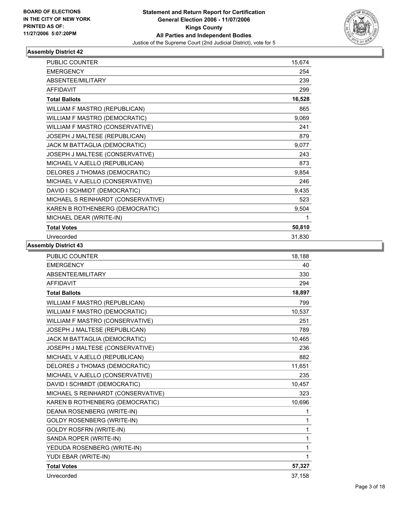

| <b>PUBLIC COUNTER</b>              | 15,674 |
|------------------------------------|--------|
| <b>EMERGENCY</b>                   | 254    |
| ABSENTEE/MILITARY                  | 239    |
| <b>AFFIDAVIT</b>                   | 299    |
| <b>Total Ballots</b>               | 16,528 |
| WILLIAM F MASTRO (REPUBLICAN)      | 865    |
| WILLIAM F MASTRO (DEMOCRATIC)      | 9,069  |
| WILLIAM F MASTRO (CONSERVATIVE)    | 241    |
| JOSEPH J MALTESE (REPUBLICAN)      | 879    |
| JACK M BATTAGLIA (DEMOCRATIC)      | 9,077  |
| JOSEPH J MALTESE (CONSERVATIVE)    | 243    |
| MICHAEL V AJELLO (REPUBLICAN)      | 873    |
| DELORES J THOMAS (DEMOCRATIC)      | 9,854  |
| MICHAEL V AJELLO (CONSERVATIVE)    | 246    |
| DAVID I SCHMIDT (DEMOCRATIC)       | 9,435  |
| MICHAEL S REINHARDT (CONSERVATIVE) | 523    |
| KAREN B ROTHENBERG (DEMOCRATIC)    | 9,504  |
| MICHAEL DEAR (WRITE-IN)            |        |
| <b>Total Votes</b>                 | 50,810 |
| Unrecorded                         | 31,830 |

| PUBLIC COUNTER                     | 18,188 |  |
|------------------------------------|--------|--|
| <b>EMERGENCY</b>                   | 40     |  |
| ABSENTEE/MILITARY                  | 330    |  |
| <b>AFFIDAVIT</b>                   | 294    |  |
| <b>Total Ballots</b>               | 18,897 |  |
| WILLIAM F MASTRO (REPUBLICAN)      | 799    |  |
| WILLIAM F MASTRO (DEMOCRATIC)      | 10,537 |  |
| WILLIAM F MASTRO (CONSERVATIVE)    | 251    |  |
| JOSEPH J MALTESE (REPUBLICAN)      | 789    |  |
| JACK M BATTAGLIA (DEMOCRATIC)      | 10,465 |  |
| JOSEPH J MALTESE (CONSERVATIVE)    | 236    |  |
| MICHAEL V AJELLO (REPUBLICAN)      | 882    |  |
| DELORES J THOMAS (DEMOCRATIC)      | 11,651 |  |
| MICHAEL V AJELLO (CONSERVATIVE)    | 235    |  |
| DAVID I SCHMIDT (DEMOCRATIC)       | 10,457 |  |
| MICHAEL S REINHARDT (CONSERVATIVE) | 323    |  |
| KAREN B ROTHENBERG (DEMOCRATIC)    | 10,696 |  |
| DEANA ROSENBERG (WRITE-IN)         | 1      |  |
| <b>GOLDY ROSENBERG (WRITE-IN)</b>  | 1      |  |
| <b>GOLDY ROSFRN (WRITE-IN)</b>     | 1      |  |
| SANDA ROPER (WRITE-IN)             | 1      |  |
| YEDUDA ROSENBERG (WRITE-IN)        | 1      |  |
| YUDI EBAR (WRITE-IN)               | 1      |  |
| <b>Total Votes</b>                 | 57,327 |  |
| Unrecorded                         | 37,158 |  |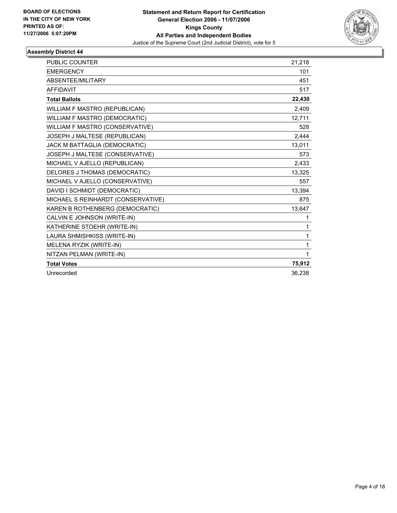

| PUBLIC COUNTER                     | 21,218 |
|------------------------------------|--------|
| <b>EMERGENCY</b>                   | 101    |
| <b>ABSENTEE/MILITARY</b>           | 451    |
| <b>AFFIDAVIT</b>                   | 517    |
| <b>Total Ballots</b>               | 22,430 |
| WILLIAM F MASTRO (REPUBLICAN)      | 2.409  |
| WILLIAM F MASTRO (DEMOCRATIC)      | 12,711 |
| WILLIAM F MASTRO (CONSERVATIVE)    | 528    |
| JOSEPH J MALTESE (REPUBLICAN)      | 2,444  |
| JACK M BATTAGLIA (DEMOCRATIC)      | 13,011 |
| JOSEPH J MALTESE (CONSERVATIVE)    | 573    |
| MICHAEL V AJELLO (REPUBLICAN)      | 2,433  |
| DELORES J THOMAS (DEMOCRATIC)      | 13,325 |
| MICHAEL V AJELLO (CONSERVATIVE)    | 557    |
| DAVID I SCHMIDT (DEMOCRATIC)       | 13,394 |
| MICHAEL S REINHARDT (CONSERVATIVE) | 875    |
| KAREN B ROTHENBERG (DEMOCRATIC)    | 13,647 |
| CALVIN E JOHNSON (WRITE-IN)        | 1      |
| KATHERINE STOEHR (WRITE-IN)        | 1      |
| LAURA SHMISHKISS (WRITE-IN)        | 1      |
| MELENA RYZIK (WRITE-IN)            | 1      |
| NITZAN PELMAN (WRITE-IN)           | 1      |
| <b>Total Votes</b>                 | 75,912 |
| Unrecorded                         | 36,238 |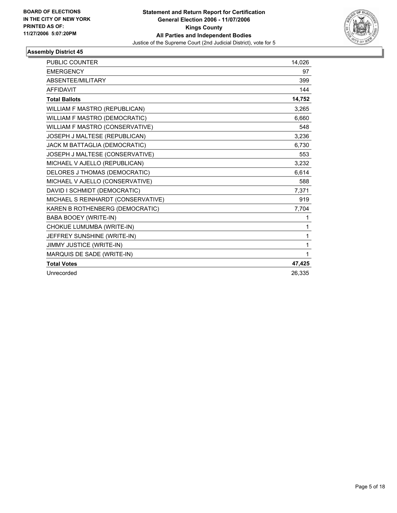

| <b>PUBLIC COUNTER</b>              | 14,026 |
|------------------------------------|--------|
| <b>EMERGENCY</b>                   | 97     |
| ABSENTEE/MILITARY                  | 399    |
| <b>AFFIDAVIT</b>                   | 144    |
| <b>Total Ballots</b>               | 14,752 |
| WILLIAM F MASTRO (REPUBLICAN)      | 3.265  |
| WILLIAM F MASTRO (DEMOCRATIC)      | 6.660  |
| WILLIAM F MASTRO (CONSERVATIVE)    | 548    |
| JOSEPH J MALTESE (REPUBLICAN)      | 3,236  |
| JACK M BATTAGLIA (DEMOCRATIC)      | 6,730  |
| JOSEPH J MALTESE (CONSERVATIVE)    | 553    |
| MICHAEL V AJELLO (REPUBLICAN)      | 3,232  |
| DELORES J THOMAS (DEMOCRATIC)      | 6,614  |
| MICHAEL V AJELLO (CONSERVATIVE)    | 588    |
| DAVID I SCHMIDT (DEMOCRATIC)       | 7,371  |
| MICHAEL S REINHARDT (CONSERVATIVE) | 919    |
| KAREN B ROTHENBERG (DEMOCRATIC)    | 7,704  |
| <b>BABA BOOEY (WRITE-IN)</b>       | 1      |
| CHOKUE LUMUMBA (WRITE-IN)          | 1      |
| JEFFREY SUNSHINE (WRITE-IN)        | 1      |
| <b>JIMMY JUSTICE (WRITE-IN)</b>    | 1      |
| MARQUIS DE SADE (WRITE-IN)         | 1      |
| <b>Total Votes</b>                 | 47,425 |
| Unrecorded                         | 26,335 |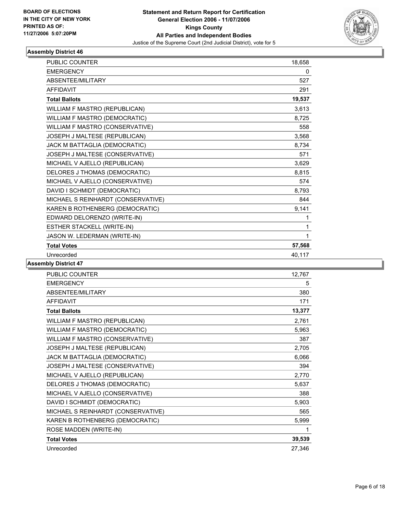

| PUBLIC COUNTER                     | 18,658 |
|------------------------------------|--------|
| <b>EMERGENCY</b>                   | 0      |
| ABSENTEE/MILITARY                  | 527    |
| <b>AFFIDAVIT</b>                   | 291    |
| <b>Total Ballots</b>               | 19,537 |
| WILLIAM F MASTRO (REPUBLICAN)      | 3,613  |
| WILLIAM F MASTRO (DEMOCRATIC)      | 8,725  |
| WILLIAM F MASTRO (CONSERVATIVE)    | 558    |
| JOSEPH J MALTESE (REPUBLICAN)      | 3.568  |
| JACK M BATTAGLIA (DEMOCRATIC)      | 8,734  |
| JOSEPH J MALTESE (CONSERVATIVE)    | 571    |
| MICHAEL V AJELLO (REPUBLICAN)      | 3,629  |
| DELORES J THOMAS (DEMOCRATIC)      | 8,815  |
| MICHAEL V AJELLO (CONSERVATIVE)    | 574    |
| DAVID I SCHMIDT (DEMOCRATIC)       | 8,793  |
| MICHAEL S REINHARDT (CONSERVATIVE) | 844    |
| KAREN B ROTHENBERG (DEMOCRATIC)    | 9,141  |
| EDWARD DELORENZO (WRITE-IN)        | 1      |
| ESTHER STACKELL (WRITE-IN)         | 1      |
| JASON W. LEDERMAN (WRITE-IN)       |        |
| <b>Total Votes</b>                 | 57,568 |
| Unrecorded                         | 40,117 |

| <b>PUBLIC COUNTER</b>              | 12,767 |
|------------------------------------|--------|
| <b>EMERGENCY</b>                   | 5      |
| ABSENTEE/MILITARY                  | 380    |
| <b>AFFIDAVIT</b>                   | 171    |
| <b>Total Ballots</b>               | 13,377 |
| WILLIAM F MASTRO (REPUBLICAN)      | 2,761  |
| WILLIAM F MASTRO (DEMOCRATIC)      | 5,963  |
| WILLIAM F MASTRO (CONSERVATIVE)    | 387    |
| JOSEPH J MALTESE (REPUBLICAN)      | 2,705  |
| JACK M BATTAGLIA (DEMOCRATIC)      | 6,066  |
| JOSEPH J MALTESE (CONSERVATIVE)    | 394    |
| MICHAEL V AJELLO (REPUBLICAN)      | 2,770  |
| DELORES J THOMAS (DEMOCRATIC)      | 5,637  |
| MICHAEL V AJELLO (CONSERVATIVE)    | 388    |
| DAVID I SCHMIDT (DEMOCRATIC)       | 5,903  |
| MICHAEL S REINHARDT (CONSERVATIVE) | 565    |
| KAREN B ROTHENBERG (DEMOCRATIC)    | 5,999  |
| ROSE MADDEN (WRITE-IN)             |        |
| <b>Total Votes</b>                 | 39,539 |
| Unrecorded                         | 27,346 |
|                                    |        |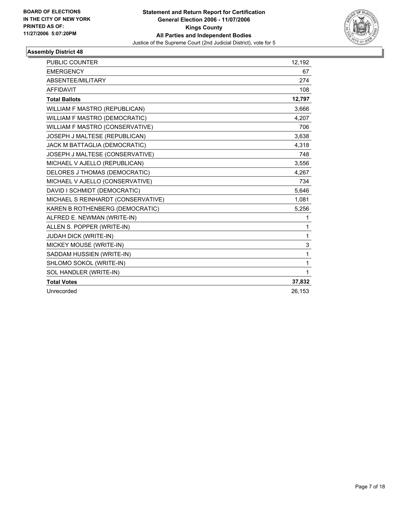

| PUBLIC COUNTER                       | 12,192 |
|--------------------------------------|--------|
| <b>EMERGENCY</b>                     | 67     |
| ABSENTEE/MILITARY                    | 274    |
| <b>AFFIDAVIT</b>                     | 108    |
| <b>Total Ballots</b>                 | 12,797 |
| WILLIAM F MASTRO (REPUBLICAN)        | 3,666  |
| <b>WILLIAM F MASTRO (DEMOCRATIC)</b> | 4.207  |
| WILLIAM F MASTRO (CONSERVATIVE)      | 706    |
| JOSEPH J MALTESE (REPUBLICAN)        | 3,638  |
| JACK M BATTAGLIA (DEMOCRATIC)        | 4,318  |
| JOSEPH J MALTESE (CONSERVATIVE)      | 748    |
| MICHAEL V AJELLO (REPUBLICAN)        | 3,556  |
| DELORES J THOMAS (DEMOCRATIC)        | 4,267  |
| MICHAEL V AJELLO (CONSERVATIVE)      | 734    |
| DAVID I SCHMIDT (DEMOCRATIC)         | 5,646  |
| MICHAEL S REINHARDT (CONSERVATIVE)   | 1,081  |
| KAREN B ROTHENBERG (DEMOCRATIC)      | 5,256  |
| ALFRED E. NEWMAN (WRITE-IN)          | 1      |
| ALLEN S. POPPER (WRITE-IN)           | 1      |
| <b>JUDAH DICK (WRITE-IN)</b>         | 1      |
| MICKEY MOUSE (WRITE-IN)              | 3      |
| SADDAM HUSSIEN (WRITE-IN)            | 1      |
| SHLOMO SOKOL (WRITE-IN)              | 1      |
| SOL HANDLER (WRITE-IN)               | 1      |
| <b>Total Votes</b>                   | 37,832 |
| Unrecorded                           | 26,153 |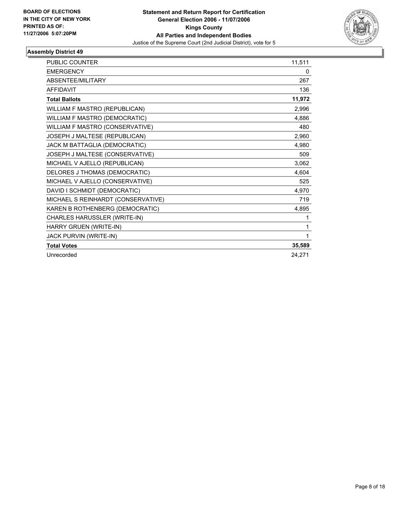

| <b>PUBLIC COUNTER</b>              | 11,511 |
|------------------------------------|--------|
| <b>EMERGENCY</b>                   | 0      |
| ABSENTEE/MILITARY                  | 267    |
| <b>AFFIDAVIT</b>                   | 136    |
| <b>Total Ballots</b>               | 11,972 |
| WILLIAM F MASTRO (REPUBLICAN)      | 2,996  |
| WILLIAM F MASTRO (DEMOCRATIC)      | 4.886  |
| WILLIAM F MASTRO (CONSERVATIVE)    | 480    |
| JOSEPH J MALTESE (REPUBLICAN)      | 2,960  |
| JACK M BATTAGLIA (DEMOCRATIC)      | 4,980  |
| JOSEPH J MALTESE (CONSERVATIVE)    | 509    |
| MICHAEL V AJELLO (REPUBLICAN)      | 3,062  |
| DELORES J THOMAS (DEMOCRATIC)      | 4,604  |
| MICHAEL V AJELLO (CONSERVATIVE)    | 525    |
| DAVID I SCHMIDT (DEMOCRATIC)       | 4,970  |
| MICHAEL S REINHARDT (CONSERVATIVE) | 719    |
| KAREN B ROTHENBERG (DEMOCRATIC)    | 4,895  |
| CHARLES HARUSSLER (WRITE-IN)       | 1      |
| HARRY GRUEN (WRITE-IN)             | 1      |
| JACK PURVIN (WRITE-IN)             |        |
| <b>Total Votes</b>                 | 35,589 |
| Unrecorded                         | 24.271 |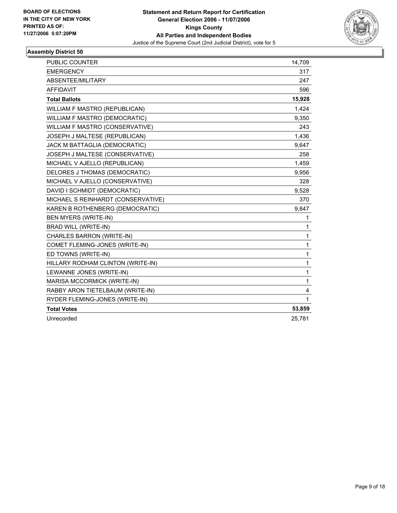

| PUBLIC COUNTER                       | 14,709 |
|--------------------------------------|--------|
| <b>EMERGENCY</b>                     | 317    |
| ABSENTEE/MILITARY                    | 247    |
| <b>AFFIDAVIT</b>                     | 596    |
| <b>Total Ballots</b>                 | 15,928 |
| WILLIAM F MASTRO (REPUBLICAN)        | 1,424  |
| <b>WILLIAM F MASTRO (DEMOCRATIC)</b> | 9,350  |
| WILLIAM F MASTRO (CONSERVATIVE)      | 243    |
| JOSEPH J MALTESE (REPUBLICAN)        | 1,436  |
| JACK M BATTAGLIA (DEMOCRATIC)        | 9,647  |
| JOSEPH J MALTESE (CONSERVATIVE)      | 258    |
| MICHAEL V AJELLO (REPUBLICAN)        | 1,459  |
| DELORES J THOMAS (DEMOCRATIC)        | 9,956  |
| MICHAEL V AJELLO (CONSERVATIVE)      | 328    |
| DAVID I SCHMIDT (DEMOCRATIC)         | 9,528  |
| MICHAEL S REINHARDT (CONSERVATIVE)   | 370    |
| KAREN B ROTHENBERG (DEMOCRATIC)      | 9,847  |
| BEN MYERS (WRITE-IN)                 | 1      |
| <b>BRAD WILL (WRITE-IN)</b>          | 1      |
| CHARLES BARRON (WRITE-IN)            | 1      |
| COMET FLEMING-JONES (WRITE-IN)       | 1      |
| ED TOWNS (WRITE-IN)                  | 1      |
| HILLARY RODHAM CLINTON (WRITE-IN)    | 1      |
| LEWANNE JONES (WRITE-IN)             | 1      |
| MARISA MCCORMICK (WRITE-IN)          | 1      |
| RABBY ARON TIETELBAUM (WRITE-IN)     | 4      |
| RYDER FLEMING-JONES (WRITE-IN)       | 1      |
| <b>Total Votes</b>                   | 53,859 |
| Unrecorded                           | 25,781 |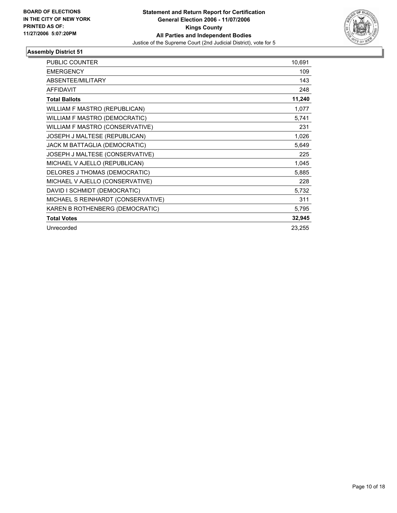

| <b>PUBLIC COUNTER</b>              | 10,691 |
|------------------------------------|--------|
| <b>EMERGENCY</b>                   | 109    |
| ABSENTEE/MILITARY                  | 143    |
| <b>AFFIDAVIT</b>                   | 248    |
| <b>Total Ballots</b>               | 11,240 |
| WILLIAM F MASTRO (REPUBLICAN)      | 1,077  |
| WILLIAM F MASTRO (DEMOCRATIC)      | 5,741  |
| WILLIAM F MASTRO (CONSERVATIVE)    | 231    |
| JOSEPH J MALTESE (REPUBLICAN)      | 1,026  |
| JACK M BATTAGLIA (DEMOCRATIC)      | 5,649  |
| JOSEPH J MALTESE (CONSERVATIVE)    | 225    |
| MICHAEL V AJELLO (REPUBLICAN)      | 1,045  |
| DELORES J THOMAS (DEMOCRATIC)      | 5,885  |
| MICHAEL V AJELLO (CONSERVATIVE)    | 228    |
| DAVID I SCHMIDT (DEMOCRATIC)       | 5,732  |
| MICHAEL S REINHARDT (CONSERVATIVE) | 311    |
| KAREN B ROTHENBERG (DEMOCRATIC)    | 5,795  |
| <b>Total Votes</b>                 | 32,945 |
| Unrecorded                         | 23,255 |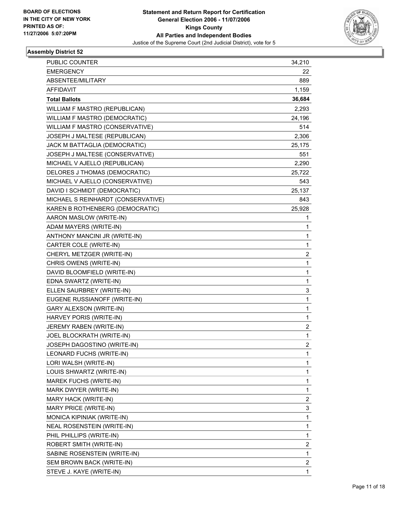

| PUBLIC COUNTER                     | 34,210                  |
|------------------------------------|-------------------------|
| <b>EMERGENCY</b>                   | 22                      |
| ABSENTEE/MILITARY                  | 889                     |
| <b>AFFIDAVIT</b>                   | 1,159                   |
| <b>Total Ballots</b>               | 36,684                  |
| WILLIAM F MASTRO (REPUBLICAN)      | 2,293                   |
| WILLIAM F MASTRO (DEMOCRATIC)      | 24,196                  |
| WILLIAM F MASTRO (CONSERVATIVE)    | 514                     |
| JOSEPH J MALTESE (REPUBLICAN)      | 2,306                   |
| JACK M BATTAGLIA (DEMOCRATIC)      | 25,175                  |
| JOSEPH J MALTESE (CONSERVATIVE)    | 551                     |
| MICHAEL V AJELLO (REPUBLICAN)      | 2,290                   |
| DELORES J THOMAS (DEMOCRATIC)      | 25,722                  |
| MICHAEL V AJELLO (CONSERVATIVE)    | 543                     |
| DAVID I SCHMIDT (DEMOCRATIC)       | 25,137                  |
| MICHAEL S REINHARDT (CONSERVATIVE) | 843                     |
| KAREN B ROTHENBERG (DEMOCRATIC)    | 25,928                  |
| AARON MASLOW (WRITE-IN)            | 1                       |
| ADAM MAYERS (WRITE-IN)             | 1                       |
| ANTHONY MANCINI JR (WRITE-IN)      | 1                       |
| CARTER COLE (WRITE-IN)             | 1                       |
| CHERYL METZGER (WRITE-IN)          | $\overline{\mathbf{c}}$ |
| CHRIS OWENS (WRITE-IN)             | $\mathbf 1$             |
| DAVID BLOOMFIELD (WRITE-IN)        | 1                       |
| EDNA SWARTZ (WRITE-IN)             | 1                       |
| ELLEN SAURBREY (WRITE-IN)          | 3                       |
| EUGENE RUSSIANOFF (WRITE-IN)       | 1                       |
| GARY ALEXSON (WRITE-IN)            | 1                       |
| HARVEY PORIS (WRITE-IN)            | $\mathbf 1$             |
| JEREMY RABEN (WRITE-IN)            | $\overline{\mathbf{c}}$ |
| JOEL BLOCKRATH (WRITE-IN)          | 1                       |
| JOSEPH DAGOSTINO (WRITE-IN)        | $\overline{2}$          |
| LEONARD FUCHS (WRITE-IN)           | 1                       |
| LORI WALSH (WRITE-IN)              | 1                       |
| LOUIS SHWARTZ (WRITE-IN)           | 1                       |
| MAREK FUCHS (WRITE-IN)             | 1                       |
| MARK DWYER (WRITE-IN)              | 1                       |
| MARY HACK (WRITE-IN)               | $\boldsymbol{2}$        |
| MARY PRICE (WRITE-IN)              | 3                       |
| MONICA KIPINIAK (WRITE-IN)         | 1                       |
| NEAL ROSENSTEIN (WRITE-IN)         | 1                       |
| PHIL PHILLIPS (WRITE-IN)           | 1                       |
| ROBERT SMITH (WRITE-IN)            | $\overline{\mathbf{c}}$ |
| SABINE ROSENSTEIN (WRITE-IN)       | $\mathbf 1$             |
| SEM BROWN BACK (WRITE-IN)          | $\overline{\mathbf{c}}$ |
| STEVE J. KAYE (WRITE-IN)           | 1                       |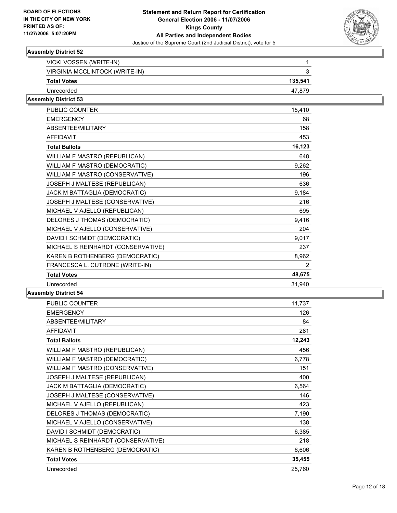

| 135,541 |
|---------|
| 47.879  |
|         |

#### **Assembly District 53**

| <b>PUBLIC COUNTER</b>              | 15,410         |
|------------------------------------|----------------|
| <b>EMERGENCY</b>                   | 68             |
| ABSENTEE/MILITARY                  | 158            |
| <b>AFFIDAVIT</b>                   | 453            |
| <b>Total Ballots</b>               | 16,123         |
| WILLIAM F MASTRO (REPUBLICAN)      | 648            |
| WILLIAM F MASTRO (DEMOCRATIC)      | 9,262          |
| WILLIAM F MASTRO (CONSERVATIVE)    | 196            |
| JOSEPH J MALTESE (REPUBLICAN)      | 636            |
| JACK M BATTAGLIA (DEMOCRATIC)      | 9,184          |
| JOSEPH J MALTESE (CONSERVATIVE)    | 216            |
| MICHAEL V AJELLO (REPUBLICAN)      | 695            |
| DELORES J THOMAS (DEMOCRATIC)      | 9,416          |
| MICHAEL V AJELLO (CONSERVATIVE)    | 204            |
| DAVID I SCHMIDT (DEMOCRATIC)       | 9,017          |
| MICHAEL S REINHARDT (CONSERVATIVE) | 237            |
| KAREN B ROTHENBERG (DEMOCRATIC)    | 8,962          |
| FRANCESCA L. CUTRONE (WRITE-IN)    | $\overline{2}$ |
| <b>Total Votes</b>                 | 48,675         |
| Unrecorded                         | 31,940         |

| <b>PUBLIC COUNTER</b>              | 11,737 |
|------------------------------------|--------|
| <b>EMERGENCY</b>                   | 126    |
| ABSENTEE/MILITARY                  | 84     |
| <b>AFFIDAVIT</b>                   | 281    |
| <b>Total Ballots</b>               | 12,243 |
| WILLIAM F MASTRO (REPUBLICAN)      | 456    |
| WILLIAM F MASTRO (DEMOCRATIC)      | 6,778  |
| WILLIAM F MASTRO (CONSERVATIVE)    | 151    |
| JOSEPH J MALTESE (REPUBLICAN)      | 400    |
| JACK M BATTAGLIA (DEMOCRATIC)      | 6,564  |
| JOSEPH J MALTESE (CONSERVATIVE)    | 146    |
| MICHAEL V AJELLO (REPUBLICAN)      | 423    |
| DELORES J THOMAS (DEMOCRATIC)      | 7,190  |
| MICHAEL V AJELLO (CONSERVATIVE)    | 138    |
| DAVID I SCHMIDT (DEMOCRATIC)       | 6,385  |
| MICHAEL S REINHARDT (CONSERVATIVE) | 218    |
| KAREN B ROTHENBERG (DEMOCRATIC)    | 6,606  |
| <b>Total Votes</b>                 | 35,455 |
| Unrecorded                         | 25,760 |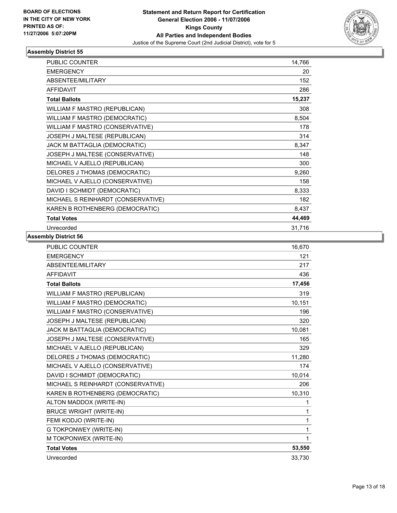

| <b>PUBLIC COUNTER</b>              | 14,766 |
|------------------------------------|--------|
| <b>EMERGENCY</b>                   | 20     |
| <b>ABSENTEE/MILITARY</b>           | 152    |
| <b>AFFIDAVIT</b>                   | 286    |
| <b>Total Ballots</b>               | 15,237 |
| WILLIAM F MASTRO (REPUBLICAN)      | 308    |
| WILLIAM F MASTRO (DEMOCRATIC)      | 8,504  |
| WILLIAM F MASTRO (CONSERVATIVE)    | 178    |
| JOSEPH J MALTESE (REPUBLICAN)      | 314    |
| JACK M BATTAGLIA (DEMOCRATIC)      | 8,347  |
| JOSEPH J MALTESE (CONSERVATIVE)    | 148    |
| MICHAEL V AJELLO (REPUBLICAN)      | 300    |
| DELORES J THOMAS (DEMOCRATIC)      | 9,260  |
| MICHAEL V AJELLO (CONSERVATIVE)    | 158    |
| DAVID I SCHMIDT (DEMOCRATIC)       | 8,333  |
| MICHAEL S REINHARDT (CONSERVATIVE) | 182    |
| KAREN B ROTHENBERG (DEMOCRATIC)    | 8,437  |
| <b>Total Votes</b>                 | 44,469 |
| Unrecorded                         | 31,716 |

| PUBLIC COUNTER                     | 16,670 |
|------------------------------------|--------|
| <b>EMERGENCY</b>                   | 121    |
| ABSENTEE/MILITARY                  | 217    |
| AFFIDAVIT                          | 436    |
| <b>Total Ballots</b>               | 17,456 |
| WILLIAM F MASTRO (REPUBLICAN)      | 319    |
| WILLIAM F MASTRO (DEMOCRATIC)      | 10,151 |
| WILLIAM F MASTRO (CONSERVATIVE)    | 196    |
| JOSEPH J MALTESE (REPUBLICAN)      | 320    |
| JACK M BATTAGLIA (DEMOCRATIC)      | 10,081 |
| JOSEPH J MALTESE (CONSERVATIVE)    | 165    |
| MICHAEL V AJELLO (REPUBLICAN)      | 329    |
| DELORES J THOMAS (DEMOCRATIC)      | 11.280 |
| MICHAEL V AJELLO (CONSERVATIVE)    | 174    |
| DAVID I SCHMIDT (DEMOCRATIC)       | 10,014 |
| MICHAEL S REINHARDT (CONSERVATIVE) | 206    |
| KAREN B ROTHENBERG (DEMOCRATIC)    | 10,310 |
| ALTON MADDOX (WRITE-IN)            | 1      |
| <b>BRUCE WRIGHT (WRITE-IN)</b>     | 1      |
| FEMI KODJO (WRITE-IN)              | 1      |
| G TOKPONWEY (WRITE-IN)             | 1      |
| M TOKPONWEX (WRITE-IN)             | 1      |
| <b>Total Votes</b>                 | 53,550 |
| Unrecorded                         | 33,730 |
|                                    |        |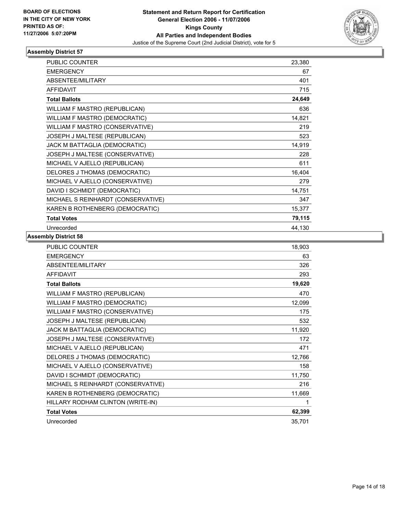

| <b>PUBLIC COUNTER</b>              | 23,380 |
|------------------------------------|--------|
| <b>EMERGENCY</b>                   | 67     |
| <b>ABSENTEE/MILITARY</b>           | 401    |
| <b>AFFIDAVIT</b>                   | 715    |
| <b>Total Ballots</b>               | 24,649 |
| WILLIAM F MASTRO (REPUBLICAN)      | 636    |
| WILLIAM F MASTRO (DEMOCRATIC)      | 14,821 |
| WILLIAM F MASTRO (CONSERVATIVE)    | 219    |
| JOSEPH J MALTESE (REPUBLICAN)      | 523    |
| JACK M BATTAGLIA (DEMOCRATIC)      | 14,919 |
| JOSEPH J MALTESE (CONSERVATIVE)    | 228    |
| MICHAEL V AJELLO (REPUBLICAN)      | 611    |
| DELORES J THOMAS (DEMOCRATIC)      | 16,404 |
| MICHAEL V AJELLO (CONSERVATIVE)    | 279    |
| DAVID I SCHMIDT (DEMOCRATIC)       | 14,751 |
| MICHAEL S REINHARDT (CONSERVATIVE) | 347    |
| KAREN B ROTHENBERG (DEMOCRATIC)    | 15,377 |
| <b>Total Votes</b>                 | 79,115 |
| Unrecorded                         | 44,130 |

| PUBLIC COUNTER                     | 18,903 |
|------------------------------------|--------|
| <b>EMERGENCY</b>                   | 63     |
| ABSENTEE/MILITARY                  | 326    |
| <b>AFFIDAVIT</b>                   | 293    |
| <b>Total Ballots</b>               | 19,620 |
| WILLIAM F MASTRO (REPUBLICAN)      | 470    |
| WILLIAM F MASTRO (DEMOCRATIC)      | 12,099 |
| WILLIAM F MASTRO (CONSERVATIVE)    | 175    |
| JOSEPH J MALTESE (REPUBLICAN)      | 532    |
| JACK M BATTAGLIA (DEMOCRATIC)      | 11,920 |
| JOSEPH J MALTESE (CONSERVATIVE)    | 172    |
| MICHAEL V AJELLO (REPUBLICAN)      | 471    |
| DELORES J THOMAS (DEMOCRATIC)      | 12,766 |
| MICHAEL V AJELLO (CONSERVATIVE)    | 158    |
| DAVID I SCHMIDT (DEMOCRATIC)       | 11,750 |
| MICHAEL S REINHARDT (CONSERVATIVE) | 216    |
| KAREN B ROTHENBERG (DEMOCRATIC)    | 11,669 |
| HILLARY RODHAM CLINTON (WRITE-IN)  |        |
| <b>Total Votes</b>                 | 62,399 |
| Unrecorded                         | 35,701 |
|                                    |        |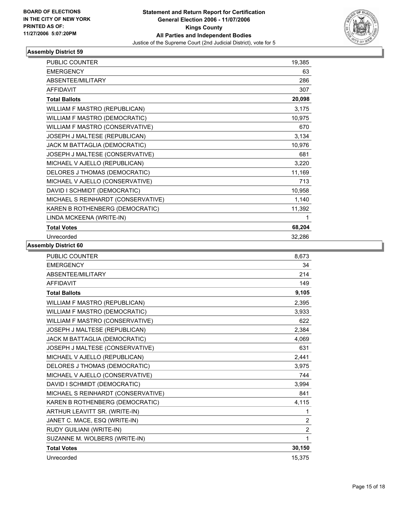

| <b>PUBLIC COUNTER</b>              | 19,385 |
|------------------------------------|--------|
| <b>EMERGENCY</b>                   | 63     |
| ABSENTEE/MILITARY                  | 286    |
| <b>AFFIDAVIT</b>                   | 307    |
| <b>Total Ballots</b>               | 20,098 |
| WILLIAM F MASTRO (REPUBLICAN)      | 3,175  |
| WILLIAM F MASTRO (DEMOCRATIC)      | 10,975 |
| WILLIAM F MASTRO (CONSERVATIVE)    | 670    |
| JOSEPH J MALTESE (REPUBLICAN)      | 3,134  |
| JACK M BATTAGLIA (DEMOCRATIC)      | 10,976 |
| JOSEPH J MALTESE (CONSERVATIVE)    | 681    |
| MICHAEL V AJELLO (REPUBLICAN)      | 3,220  |
| DELORES J THOMAS (DEMOCRATIC)      | 11,169 |
| MICHAEL V AJELLO (CONSERVATIVE)    | 713    |
| DAVID I SCHMIDT (DEMOCRATIC)       | 10,958 |
| MICHAEL S REINHARDT (CONSERVATIVE) | 1,140  |
| KAREN B ROTHENBERG (DEMOCRATIC)    | 11,392 |
| LINDA MCKEENA (WRITE-IN)           |        |
| <b>Total Votes</b>                 | 68,204 |
| Unrecorded                         | 32,286 |

| <b>PUBLIC COUNTER</b>              | 8.673            |
|------------------------------------|------------------|
| <b>EMERGENCY</b>                   | 34               |
| <b>ABSENTEE/MILITARY</b>           | 214              |
| <b>AFFIDAVIT</b>                   | 149              |
| <b>Total Ballots</b>               | 9,105            |
| WILLIAM F MASTRO (REPUBLICAN)      | 2,395            |
| WILLIAM F MASTRO (DEMOCRATIC)      | 3,933            |
| WILLIAM F MASTRO (CONSERVATIVE)    | 622              |
| JOSEPH J MALTESE (REPUBLICAN)      | 2.384            |
| JACK M BATTAGLIA (DEMOCRATIC)      | 4,069            |
| JOSEPH J MALTESE (CONSERVATIVE)    | 631              |
| MICHAEL V AJELLO (REPUBLICAN)      | 2,441            |
| DELORES J THOMAS (DEMOCRATIC)      | 3,975            |
| MICHAEL V AJELLO (CONSERVATIVE)    | 744              |
| DAVID I SCHMIDT (DEMOCRATIC)       | 3,994            |
| MICHAEL S REINHARDT (CONSERVATIVE) | 841              |
| KAREN B ROTHENBERG (DEMOCRATIC)    | 4,115            |
| ARTHUR LEAVITT SR. (WRITE-IN)      | 1                |
| JANET C. MACE, ESQ (WRITE-IN)      | $\boldsymbol{2}$ |
| RUDY GUILIANI (WRITE-IN)           | $\overline{2}$   |
| SUZANNE M. WOLBERS (WRITE-IN)      | 1                |
| <b>Total Votes</b>                 | 30,150           |
| Unrecorded                         | 15,375           |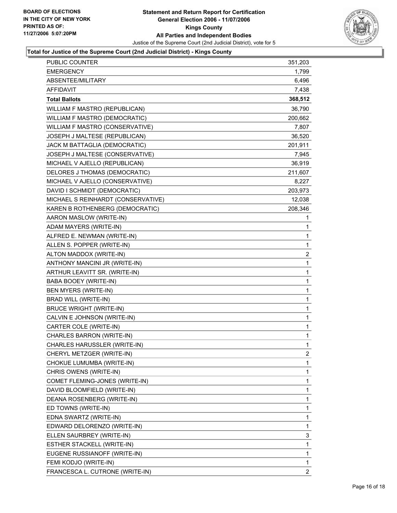

#### **Total for Justice of the Supreme Court (2nd Judicial District) - Kings County**

| PUBLIC COUNTER                       | 351,203          |
|--------------------------------------|------------------|
| <b>EMERGENCY</b>                     | 1,799            |
| ABSENTEE/MILITARY                    | 6,496            |
| AFFIDAVIT                            | 7,438            |
| <b>Total Ballots</b>                 | 368,512          |
| WILLIAM F MASTRO (REPUBLICAN)        | 36,790           |
| <b>WILLIAM F MASTRO (DEMOCRATIC)</b> | 200,662          |
| WILLIAM F MASTRO (CONSERVATIVE)      | 7,807            |
| JOSEPH J MALTESE (REPUBLICAN)        | 36,520           |
| JACK M BATTAGLIA (DEMOCRATIC)        | 201,911          |
| JOSEPH J MALTESE (CONSERVATIVE)      | 7,945            |
| MICHAEL V AJELLO (REPUBLICAN)        | 36,919           |
| DELORES J THOMAS (DEMOCRATIC)        | 211,607          |
| MICHAEL V AJELLO (CONSERVATIVE)      | 8,227            |
| DAVID I SCHMIDT (DEMOCRATIC)         | 203,973          |
| MICHAEL S REINHARDT (CONSERVATIVE)   | 12,038           |
| KAREN B ROTHENBERG (DEMOCRATIC)      | 208,346          |
| AARON MASLOW (WRITE-IN)              | 1                |
| ADAM MAYERS (WRITE-IN)               | 1                |
| ALFRED E. NEWMAN (WRITE-IN)          | 1                |
| ALLEN S. POPPER (WRITE-IN)           | $\mathbf{1}$     |
| ALTON MADDOX (WRITE-IN)              | $\overline{c}$   |
| ANTHONY MANCINI JR (WRITE-IN)        | $\mathbf{1}$     |
| ARTHUR LEAVITT SR. (WRITE-IN)        | $\mathbf 1$      |
| BABA BOOEY (WRITE-IN)                | 1                |
| BEN MYERS (WRITE-IN)                 | 1                |
| BRAD WILL (WRITE-IN)                 | 1                |
| <b>BRUCE WRIGHT (WRITE-IN)</b>       | 1                |
| CALVIN E JOHNSON (WRITE-IN)          | 1                |
| CARTER COLE (WRITE-IN)               | $\mathbf 1$      |
| CHARLES BARRON (WRITE-IN)            | 1                |
| CHARLES HARUSSLER (WRITE-IN)         | 1                |
| CHERYL METZGER (WRITE-IN)            | $\boldsymbol{2}$ |
| CHOKUE LUMUMBA (WRITE-IN)            | 1                |
| CHRIS OWENS (WRITE-IN)               | 1                |
| COMET FLEMING-JONES (WRITE-IN)       | 1                |
| DAVID BLOOMFIELD (WRITE-IN)          | 1                |
| DEANA ROSENBERG (WRITE-IN)           | 1                |
| ED TOWNS (WRITE-IN)                  | 1                |
| EDNA SWARTZ (WRITE-IN)               | 1                |
| EDWARD DELORENZO (WRITE-IN)          | 1                |
| ELLEN SAURBREY (WRITE-IN)            | 3                |
| ESTHER STACKELL (WRITE-IN)           | 1                |
| EUGENE RUSSIANOFF (WRITE-IN)         | 1                |
| FEMI KODJO (WRITE-IN)                | $\mathbf 1$      |
| FRANCESCA L. CUTRONE (WRITE-IN)      | $\overline{2}$   |
|                                      |                  |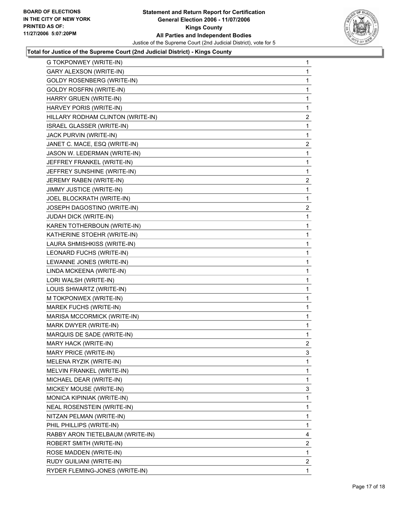

#### **Total for Justice of the Supreme Court (2nd Judicial District) - Kings County**

| G TOKPONWEY (WRITE-IN)            | 1                       |
|-----------------------------------|-------------------------|
| <b>GARY ALEXSON (WRITE-IN)</b>    | 1                       |
| <b>GOLDY ROSENBERG (WRITE-IN)</b> | 1                       |
| <b>GOLDY ROSFRN (WRITE-IN)</b>    | 1                       |
| HARRY GRUEN (WRITE-IN)            | 1                       |
| HARVEY PORIS (WRITE-IN)           | 1                       |
| HILLARY RODHAM CLINTON (WRITE-IN) | $\overline{\mathbf{c}}$ |
| ISRAEL GLASSER (WRITE-IN)         | $\mathbf{1}$            |
| JACK PURVIN (WRITE-IN)            | 1                       |
| JANET C. MACE, ESQ (WRITE-IN)     | $\overline{\mathbf{c}}$ |
| JASON W. LEDERMAN (WRITE-IN)      | 1                       |
| JEFFREY FRANKEL (WRITE-IN)        | 1                       |
| JEFFREY SUNSHINE (WRITE-IN)       | 1                       |
| JEREMY RABEN (WRITE-IN)           | $\overline{\mathbf{c}}$ |
| <b>JIMMY JUSTICE (WRITE-IN)</b>   | 1                       |
| JOEL BLOCKRATH (WRITE-IN)         | 1                       |
| JOSEPH DAGOSTINO (WRITE-IN)       | $\overline{\mathbf{c}}$ |
| JUDAH DICK (WRITE-IN)             | 1                       |
| KAREN TOTHERBOUN (WRITE-IN)       | 1                       |
| KATHERINE STOEHR (WRITE-IN)       | 1                       |
| LAURA SHMISHKISS (WRITE-IN)       | 1                       |
| LEONARD FUCHS (WRITE-IN)          | 1                       |
| LEWANNE JONES (WRITE-IN)          | 1                       |
| LINDA MCKEENA (WRITE-IN)          | 1                       |
| LORI WALSH (WRITE-IN)             | 1                       |
| LOUIS SHWARTZ (WRITE-IN)          | 1                       |
| M TOKPONWEX (WRITE-IN)            | 1                       |
| MAREK FUCHS (WRITE-IN)            | 1                       |
| MARISA MCCORMICK (WRITE-IN)       | 1                       |
| MARK DWYER (WRITE-IN)             | 1                       |
| MARQUIS DE SADE (WRITE-IN)        | 1                       |
| MARY HACK (WRITE-IN)              | $\overline{c}$          |
| MARY PRICE (WRITE-IN)             | 3                       |
| MELENA RYZIK (WRITE-IN)           | 1                       |
| MELVIN FRANKEL (WRITE-IN)         | 1                       |
| MICHAEL DEAR (WRITE-IN)           | 1                       |
| MICKEY MOUSE (WRITE-IN)           | 3                       |
| MONICA KIPINIAK (WRITE-IN)        | $\mathbf{1}$            |
| NEAL ROSENSTEIN (WRITE-IN)        | 1                       |
| NITZAN PELMAN (WRITE-IN)          | 1                       |
| PHIL PHILLIPS (WRITE-IN)          | 1                       |
| RABBY ARON TIETELBAUM (WRITE-IN)  | 4                       |
| ROBERT SMITH (WRITE-IN)           | $\overline{\mathbf{c}}$ |
| ROSE MADDEN (WRITE-IN)            | $\mathbf{1}$            |
| RUDY GUILIANI (WRITE-IN)          | $\overline{\mathbf{c}}$ |
| RYDER FLEMING-JONES (WRITE-IN)    | 1                       |